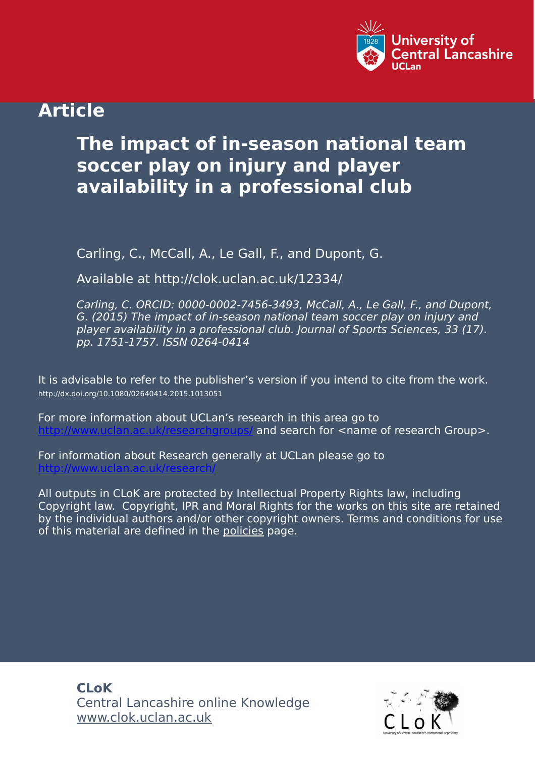

## **Article**

# **The impact of in-season national team soccer play on injury and player availability in a professional club**

Carling, C., McCall, A., Le Gall, F., and Dupont, G.

Available at http://clok.uclan.ac.uk/12334/

Carling, C. ORCID: 0000-0002-7456-3493, McCall, A., Le Gall, F., and Dupont, G. (2015) The impact of in-season national team soccer play on injury and player availability in a professional club. Journal of Sports Sciences, 33 (17). pp. 1751-1757. ISSN 0264-0414

It is advisable to refer to the publisher's version if you intend to cite from the work. http://dx.doi.org/10.1080/02640414.2015.1013051

For more information about UCLan's research in this area go to and search for  $\leq$ name of research Group>.

For information about Research generally at UCLan please go to <http://www.uclan.ac.uk/research/>

All outputs in CLoK are protected by Intellectual Property Rights law, including Copyright law. Copyright, IPR and Moral Rights for the works on this site are retained by the individual authors and/or other copyright owners. Terms and conditions for use of this material are defined in the [policies](https://clok.uclan.ac.uk/policies.html) page.

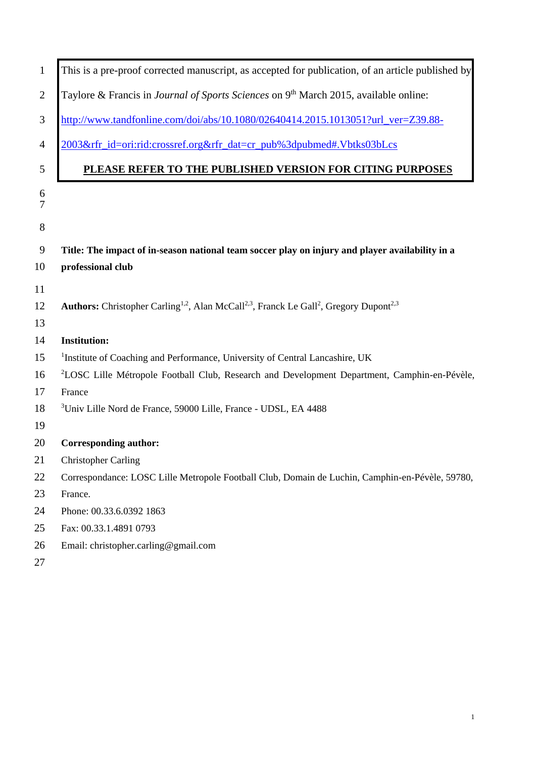| $\mathbf{1}$   | This is a pre-proof corrected manuscript, as accepted for publication, of an article published by                                      |
|----------------|----------------------------------------------------------------------------------------------------------------------------------------|
| $\overline{2}$ | Taylore & Francis in Journal of Sports Sciences on 9 <sup>th</sup> March 2015, available online:                                       |
| 3              | http://www.tandfonline.com/doi/abs/10.1080/02640414.2015.1013051?url_ver=Z39.88-                                                       |
| $\overline{4}$ | 2003𝔯_id=ori:rid:crossref.org𝔯_dat=cr_pub%3dpubmed#.Vbtks03bLcs                                                                        |
| 5              | PLEASE REFER TO THE PUBLISHED VERSION FOR CITING PURPOSES                                                                              |
| 6<br>7         |                                                                                                                                        |
| $8\,$          |                                                                                                                                        |
| 9              | Title: The impact of in-season national team soccer play on injury and player availability in a                                        |
| 10             | professional club                                                                                                                      |
| 11             |                                                                                                                                        |
| 12             | Authors: Christopher Carling <sup>1,2</sup> , Alan McCall <sup>2,3</sup> , Franck Le Gall <sup>2</sup> , Gregory Dupont <sup>2,3</sup> |
| 13             |                                                                                                                                        |
| 14             | <b>Institution:</b>                                                                                                                    |
| 15             | <sup>1</sup> Institute of Coaching and Performance, University of Central Lancashire, UK                                               |
| 16             | <sup>2</sup> LOSC Lille Métropole Football Club, Research and Development Department, Camphin-en-Pévèle,                               |
| 17             | France                                                                                                                                 |
| 18             | <sup>3</sup> Univ Lille Nord de France, 59000 Lille, France - UDSL, EA 4488                                                            |
| 19             |                                                                                                                                        |
| 20             | <b>Corresponding author:</b>                                                                                                           |
| 21             | <b>Christopher Carling</b>                                                                                                             |
| 22             | Correspondance: LOSC Lille Metropole Football Club, Domain de Luchin, Camphin-en-Pévèle, 59780,                                        |
| 23             | France.                                                                                                                                |
| 24             | Phone: 00.33.6.0392 1863                                                                                                               |
| 25             | Fax: 00.33.1.4891 0793                                                                                                                 |
| 26             | Email: christopher.carling@gmail.com                                                                                                   |
|                |                                                                                                                                        |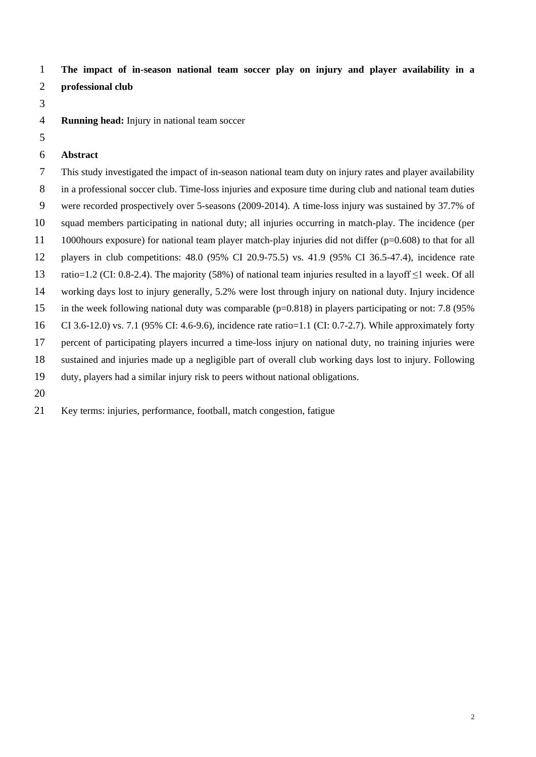**The impact of in-season national team soccer play on injury and player availability in a** 

- **professional club**
- 
- **Running head:** Injury in national team soccer
- 
- **Abstract**

 This study investigated the impact of in-season national team duty on injury rates and player availability in a professional soccer club. Time-loss injuries and exposure time during club and national team duties were recorded prospectively over 5-seasons (2009-2014). A time-loss injury was sustained by 37.7% of squad members participating in national duty; all injuries occurring in match-play. The incidence (per 1000hours exposure) for national team player match-play injuries did not differ (p=0.608) to that for all players in club competitions: 48.0 (95% CI 20.9-75.5) vs. 41.9 (95% CI 36.5-47.4), incidence rate ratio=1.2 (CI: 0.8-2.4). The majority (58%) of national team injuries resulted in a layoff ≤1 week. Of all working days lost to injury generally, 5.2% were lost through injury on national duty. Injury incidence in the week following national duty was comparable (p=0.818) in players participating or not: 7.8 (95% CI 3.6-12.0) vs. 7.1 (95% CI: 4.6-9.6), incidence rate ratio=1.1 (CI: 0.7-2.7). While approximately forty percent of participating players incurred a time-loss injury on national duty, no training injuries were sustained and injuries made up a negligible part of overall club working days lost to injury. Following duty, players had a similar injury risk to peers without national obligations. 

Key terms: injuries, performance, football, match congestion, fatigue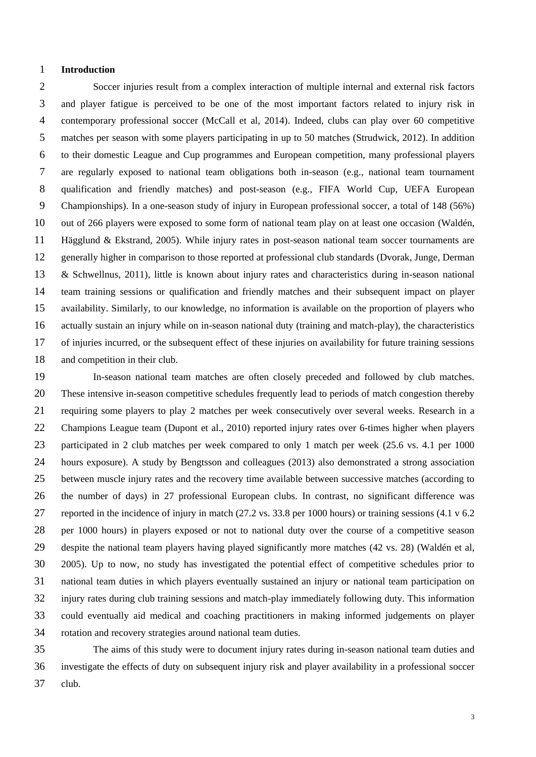#### **Introduction**

 Soccer injuries result from a complex interaction of multiple internal and external risk factors and player fatigue is perceived to be one of the most important factors related to injury risk in contemporary professional soccer (McCall et al, 2014). Indeed, clubs can play over 60 competitive matches per season with some players participating in up to 50 matches (Strudwick, 2012). In addition to their domestic League and Cup programmes and European competition, many professional players are regularly exposed to national team obligations both in-season (e.g., national team tournament qualification and friendly matches) and post-season (e.g., FIFA World Cup, UEFA European Championships). In a one-season study of injury in European professional soccer, a total of 148 (56%) out of 266 players were exposed to some form of national team play on at least one occasion (Waldén, Hägglund & Ekstrand, 2005). While injury rates in post-season national team soccer tournaments are generally higher in comparison to those reported at professional club standards (Dvorak, Junge, Derman & Schwellnus, 2011), little is known about injury rates and characteristics during in-season national team training sessions or qualification and friendly matches and their subsequent impact on player availability. Similarly, to our knowledge, no information is available on the proportion of players who actually sustain an injury while on in-season national duty (training and match-play), the characteristics of injuries incurred, or the subsequent effect of these injuries on availability for future training sessions and competition in their club.

 In-season national team matches are often closely preceded and followed by club matches. These intensive in-season competitive schedules frequently lead to periods of match congestion thereby requiring some players to play 2 matches per week consecutively over several weeks. Research in a Champions League team (Dupont et al., 2010) reported injury rates over 6-times higher when players participated in 2 club matches per week compared to only 1 match per week (25.6 vs. 4.1 per 1000 hours exposure). A study by Bengtsson and colleagues (2013) also demonstrated a strong association between muscle injury rates and the recovery time available between successive matches (according to the number of days) in 27 professional European clubs. In contrast, no significant difference was reported in the incidence of injury in match (27.2 vs. 33.8 per 1000 hours) or training sessions (4.1 v 6.2 per 1000 hours) in players exposed or not to national duty over the course of a competitive season despite the national team players having played significantly more matches (42 vs. 28) (Waldén et al, 2005). Up to now, no study has investigated the potential effect of competitive schedules prior to national team duties in which players eventually sustained an injury or national team participation on injury rates during club training sessions and match-play immediately following duty. This information could eventually aid medical and coaching practitioners in making informed judgements on player rotation and recovery strategies around national team duties.

 The aims of this study were to document injury rates during in-season national team duties and investigate the effects of duty on subsequent injury risk and player availability in a professional soccer club.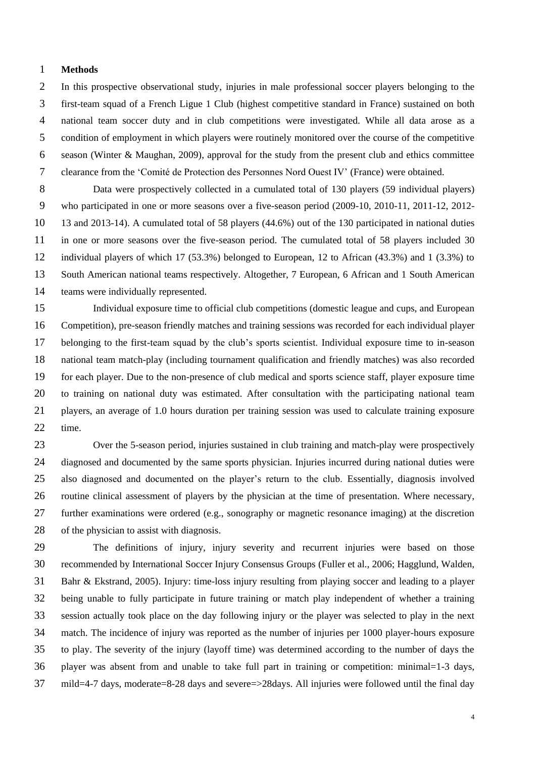#### **Methods**

 In this prospective observational study, injuries in male professional soccer players belonging to the first-team squad of a French Ligue 1 Club (highest competitive standard in France) sustained on both national team soccer duty and in club competitions were investigated. While all data arose as a condition of employment in which players were routinely monitored over the course of the competitive season (Winter & Maughan, 2009), approval for the study from the present club and ethics committee clearance from the 'Comité de Protection des Personnes Nord Ouest IV' (France) were obtained.

 Data were prospectively collected in a cumulated total of 130 players (59 individual players) who participated in one or more seasons over a five-season period (2009-10, 2010-11, 2011-12, 2012- 13 and 2013-14). A cumulated total of 58 players (44.6%) out of the 130 participated in national duties in one or more seasons over the five-season period. The cumulated total of 58 players included 30 individual players of which 17 (53.3%) belonged to European, 12 to African (43.3%) and 1 (3.3%) to South American national teams respectively. Altogether, 7 European, 6 African and 1 South American teams were individually represented.

 Individual exposure time to official club competitions (domestic league and cups, and European Competition), pre-season friendly matches and training sessions was recorded for each individual player belonging to the first-team squad by the club's sports scientist. Individual exposure time to in-season national team match-play (including tournament qualification and friendly matches) was also recorded for each player. Due to the non-presence of club medical and sports science staff, player exposure time to training on national duty was estimated. After consultation with the participating national team players, an average of 1.0 hours duration per training session was used to calculate training exposure time.

 Over the 5-season period, injuries sustained in club training and match-play were prospectively diagnosed and documented by the same sports physician. Injuries incurred during national duties were also diagnosed and documented on the player's return to the club. Essentially, diagnosis involved routine clinical assessment of players by the physician at the time of presentation. Where necessary, further examinations were ordered (e.g., sonography or magnetic resonance imaging) at the discretion of the physician to assist with diagnosis.

 The definitions of injury, injury severity and recurrent injuries were based on those recommended by International Soccer Injury Consensus Groups (Fuller et al., 2006; Hagglund, Walden, Bahr & Ekstrand, 2005). Injury: time-loss injury resulting from playing soccer and leading to a player being unable to fully participate in future training or match play independent of whether a training session actually took place on the day following injury or the player was selected to play in the next match. The incidence of injury was reported as the number of injuries per 1000 player-hours exposure to play. The severity of the injury (layoff time) was determined according to the number of days the player was absent from and unable to take full part in training or competition: minimal=1-3 days, mild=4-7 days, moderate=8-28 days and severe=>28days. All injuries were followed until the final day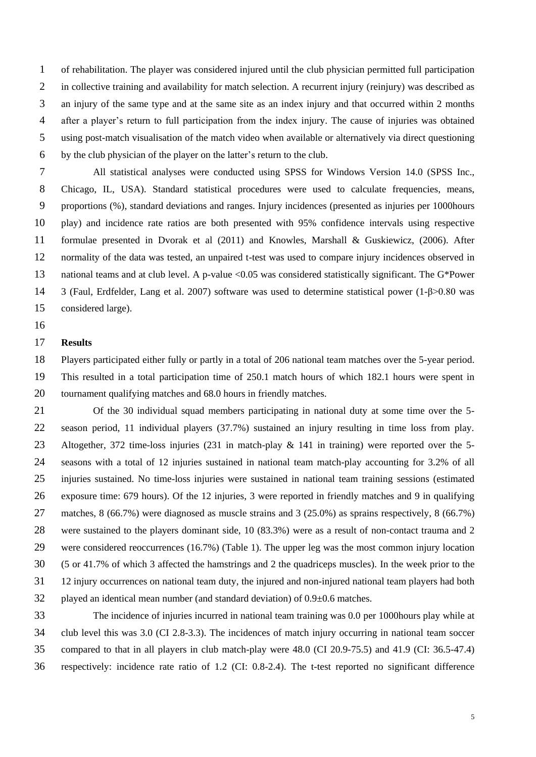of rehabilitation. The player was considered injured until the club physician permitted full participation in collective training and availability for match selection. A recurrent injury (reinjury) was described as an injury of the same type and at the same site as an index injury and that occurred within 2 months after a player's return to full participation from the index injury. The cause of injuries was obtained using post-match visualisation of the match video when available or alternatively via direct questioning by the club physician of the player on the latter's return to the club.

 All statistical analyses were conducted using SPSS for Windows Version 14.0 (SPSS Inc., Chicago, IL, USA). Standard statistical procedures were used to calculate frequencies, means, proportions (%), standard deviations and ranges. Injury incidences (presented as injuries per 1000hours play) and incidence rate ratios are both presented with 95% confidence intervals using respective formulae presented in Dvorak et al (2011) and Knowles, Marshall & Guskiewicz, (2006). After normality of the data was tested, an unpaired t-test was used to compare injury incidences observed in 13 national teams and at club level. A p-value <0.05 was considered statistically significant. The G\*Power 3 (Faul, Erdfelder, Lang et al. 2007) software was used to determine statistical power (1-β>0.80 was considered large).

## **Results**

 Players participated either fully or partly in a total of 206 national team matches over the 5-year period. This resulted in a total participation time of 250.1 match hours of which 182.1 hours were spent in tournament qualifying matches and 68.0 hours in friendly matches.

 Of the 30 individual squad members participating in national duty at some time over the 5- season period, 11 individual players (37.7%) sustained an injury resulting in time loss from play. Altogether, 372 time-loss injuries (231 in match-play & 141 in training) were reported over the 5- seasons with a total of 12 injuries sustained in national team match-play accounting for 3.2% of all injuries sustained. No time-loss injuries were sustained in national team training sessions (estimated exposure time: 679 hours). Of the 12 injuries, 3 were reported in friendly matches and 9 in qualifying matches, 8 (66.7%) were diagnosed as muscle strains and 3 (25.0%) as sprains respectively, 8 (66.7%) were sustained to the players dominant side, 10 (83.3%) were as a result of non-contact trauma and 2 were considered reoccurrences (16.7%) (Table 1). The upper leg was the most common injury location (5 or 41.7% of which 3 affected the hamstrings and 2 the quadriceps muscles). In the week prior to the 12 injury occurrences on national team duty, the injured and non-injured national team players had both 32 played an identical mean number (and standard deviation) of  $0.9\pm0.6$  matches. The incidence of injuries incurred in national team training was 0.0 per 1000hours play while at

 club level this was 3.0 (CI 2.8-3.3). The incidences of match injury occurring in national team soccer compared to that in all players in club match-play were 48.0 (CI 20.9-75.5) and 41.9 (CI: 36.5-47.4) respectively: incidence rate ratio of 1.2 (CI: 0.8-2.4). The t-test reported no significant difference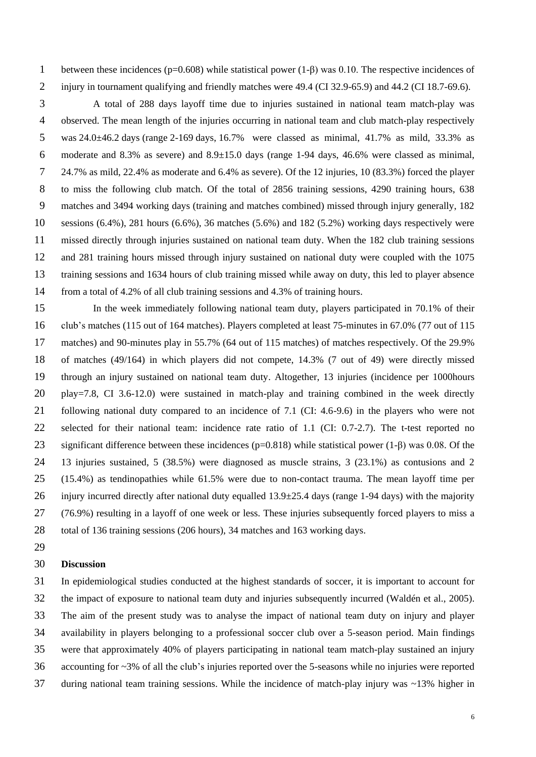between these incidences (p=0.608) while statistical power (1-β) was 0.10. The respective incidences of 2 injury in tournament qualifying and friendly matches were 49.4 (CI 32.9-65.9) and 44.2 (CI 18.7-69.6).

 A total of 288 days layoff time due to injuries sustained in national team match-play was observed. The mean length of the injuries occurring in national team and club match-play respectively was 24.0±46.2 days (range 2-169 days, 16.7% were classed as minimal, 41.7% as mild, 33.3% as 6 moderate and 8.3% as severe) and  $8.9\pm15.0$  days (range 1-94 days, 46.6% were classed as minimal, 24.7% as mild, 22.4% as moderate and 6.4% as severe). Of the 12 injuries, 10 (83.3%) forced the player to miss the following club match. Of the total of 2856 training sessions, 4290 training hours, 638 matches and 3494 working days (training and matches combined) missed through injury generally, 182 10 sessions  $(6.4\%)$ , 281 hours  $(6.6\%)$ , 36 matches  $(5.6\%)$  and 182  $(5.2\%)$  working days respectively were missed directly through injuries sustained on national team duty. When the 182 club training sessions and 281 training hours missed through injury sustained on national duty were coupled with the 1075 training sessions and 1634 hours of club training missed while away on duty, this led to player absence from a total of 4.2% of all club training sessions and 4.3% of training hours.

 In the week immediately following national team duty, players participated in 70.1% of their club's matches (115 out of 164 matches). Players completed at least 75-minutes in 67.0% (77 out of 115 matches) and 90-minutes play in 55.7% (64 out of 115 matches) of matches respectively. Of the 29.9% of matches (49/164) in which players did not compete, 14.3% (7 out of 49) were directly missed through an injury sustained on national team duty. Altogether, 13 injuries (incidence per 1000hours play=7.8, CI 3.6-12.0) were sustained in match-play and training combined in the week directly following national duty compared to an incidence of 7.1 (CI: 4.6-9.6) in the players who were not selected for their national team: incidence rate ratio of 1.1 (CI: 0.7-2.7). The t-test reported no significant difference between these incidences (p=0.818) while statistical power (1-β) was 0.08. Of the 13 injuries sustained, 5 (38.5%) were diagnosed as muscle strains, 3 (23.1%) as contusions and 2 (15.4%) as tendinopathies while 61.5% were due to non-contact trauma. The mean layoff time per 26 injury incurred directly after national duty equalled  $13.9\pm 25.4$  days (range 1-94 days) with the majority (76.9%) resulting in a layoff of one week or less. These injuries subsequently forced players to miss a total of 136 training sessions (206 hours), 34 matches and 163 working days.

## **Discussion**

 In epidemiological studies conducted at the highest standards of soccer, it is important to account for the impact of exposure to national team duty and injuries subsequently incurred (Waldén et al., 2005). The aim of the present study was to analyse the impact of national team duty on injury and player availability in players belonging to a professional soccer club over a 5-season period. Main findings were that approximately 40% of players participating in national team match-play sustained an injury accounting for ~3% of all the club's injuries reported over the 5-seasons while no injuries were reported during national team training sessions. While the incidence of match-play injury was ~13% higher in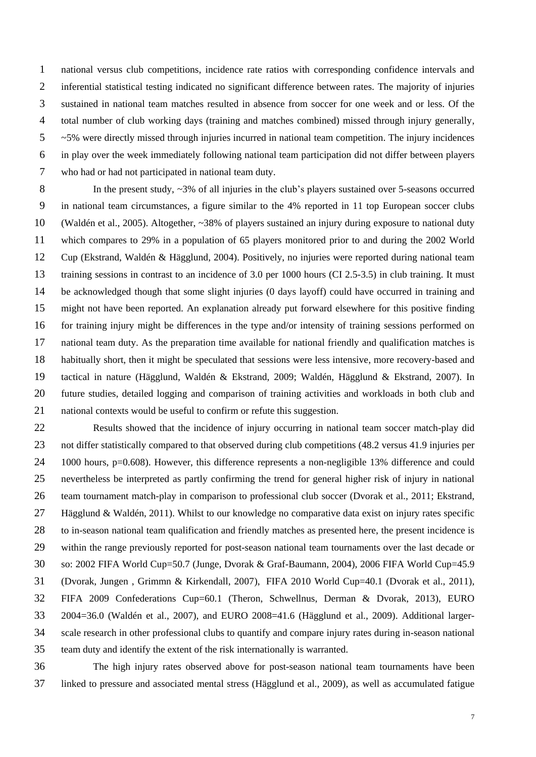national versus club competitions, incidence rate ratios with corresponding confidence intervals and inferential statistical testing indicated no significant difference between rates. The majority of injuries sustained in national team matches resulted in absence from soccer for one week and or less. Of the total number of club working days (training and matches combined) missed through injury generally,  $5 \sim 5\%$  were directly missed through injuries incurred in national team competition. The injury incidences in play over the week immediately following national team participation did not differ between players who had or had not participated in national team duty.

8 In the present study, ~3% of all injuries in the club's players sustained over 5-seasons occurred in national team circumstances, a figure similar to the 4% reported in 11 top European soccer clubs (Waldén et al., 2005). Altogether, ~38% of players sustained an injury during exposure to national duty which compares to 29% in a population of 65 players monitored prior to and during the 2002 World Cup (Ekstrand, Waldén & Hägglund, 2004). Positively, no injuries were reported during national team training sessions in contrast to an incidence of 3.0 per 1000 hours (CI 2.5-3.5) in club training. It must be acknowledged though that some slight injuries (0 days layoff) could have occurred in training and might not have been reported. An explanation already put forward elsewhere for this positive finding for training injury might be differences in the type and/or intensity of training sessions performed on national team duty. As the preparation time available for national friendly and qualification matches is habitually short, then it might be speculated that sessions were less intensive, more recovery-based and tactical in nature (Hägglund, Waldén & Ekstrand, 2009; Waldén, Hägglund & Ekstrand, 2007). In future studies, detailed logging and comparison of training activities and workloads in both club and national contexts would be useful to confirm or refute this suggestion.

 Results showed that the incidence of injury occurring in national team soccer match-play did not differ statistically compared to that observed during club competitions (48.2 versus 41.9 injuries per 1000 hours, p=0.608). However, this difference represents a non-negligible 13% difference and could nevertheless be interpreted as partly confirming the trend for general higher risk of injury in national team tournament match-play in comparison to professional club soccer (Dvorak et al., 2011; Ekstrand, Hägglund & Waldén, 2011). Whilst to our knowledge no comparative data exist on injury rates specific to in-season national team qualification and friendly matches as presented here, the present incidence is within the range previously reported for post-season national team tournaments over the last decade or so: 2002 FIFA World Cup=50.7 (Junge, Dvorak & Graf-Baumann, 2004), 2006 FIFA World Cup=45.9 (Dvorak, Jungen , Grimmn & Kirkendall, 2007), FIFA 2010 World Cup=40.1 (Dvorak et al., 2011), FIFA 2009 Confederations Cup=60.1 (Theron, Schwellnus, Derman & Dvorak, 2013), EURO 2004=36.0 (Waldén et al., 2007), and EURO 2008=41.6 (Hägglund et al., 2009). Additional larger- scale research in other professional clubs to quantify and compare injury rates during in-season national team duty and identify the extent of the risk internationally is warranted.

 The high injury rates observed above for post-season national team tournaments have been linked to pressure and associated mental stress (Hägglund et al., 2009), as well as accumulated fatigue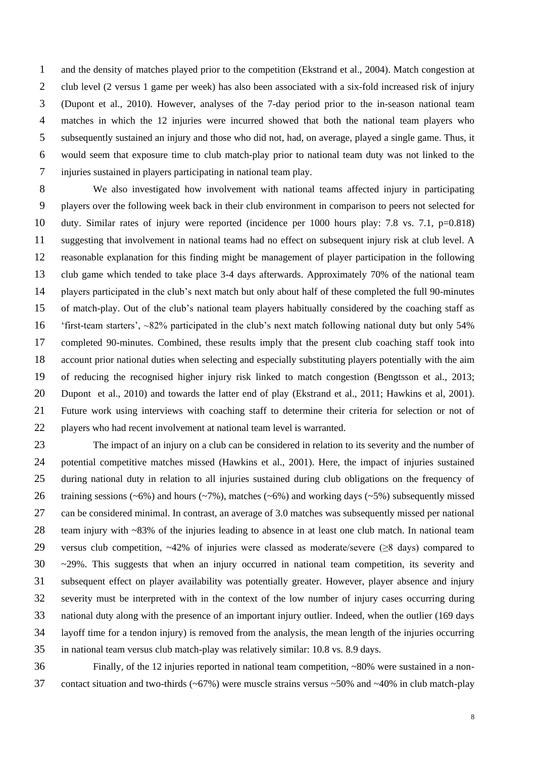and the density of matches played prior to the competition (Ekstrand et al., 2004). Match congestion at club level (2 versus 1 game per week) has also been associated with a six-fold increased risk of injury (Dupont et al., 2010). However, analyses of the 7-day period prior to the in-season national team matches in which the 12 injuries were incurred showed that both the national team players who subsequently sustained an injury and those who did not, had, on average, played a single game. Thus, it would seem that exposure time to club match-play prior to national team duty was not linked to the injuries sustained in players participating in national team play.

 We also investigated how involvement with national teams affected injury in participating players over the following week back in their club environment in comparison to peers not selected for duty. Similar rates of injury were reported (incidence per 1000 hours play: 7.8 vs. 7.1, p=0.818) suggesting that involvement in national teams had no effect on subsequent injury risk at club level. A reasonable explanation for this finding might be management of player participation in the following club game which tended to take place 3-4 days afterwards. Approximately 70% of the national team players participated in the club's next match but only about half of these completed the full 90-minutes of match-play. Out of the club's national team players habitually considered by the coaching staff as 'first-team starters', ~82% participated in the club's next match following national duty but only 54% completed 90-minutes. Combined, these results imply that the present club coaching staff took into account prior national duties when selecting and especially substituting players potentially with the aim of reducing the recognised higher injury risk linked to match congestion (Bengtsson et al., 2013; Dupont et al., 2010) and towards the latter end of play (Ekstrand et al., 2011; Hawkins et al, 2001). Future work using interviews with coaching staff to determine their criteria for selection or not of players who had recent involvement at national team level is warranted.

 The impact of an injury on a club can be considered in relation to its severity and the number of potential competitive matches missed (Hawkins et al., 2001). Here, the impact of injuries sustained during national duty in relation to all injuries sustained during club obligations on the frequency of 26 training sessions (~6%) and hours (~7%), matches (~6%) and working days (~5%) subsequently missed can be considered minimal. In contrast, an average of 3.0 matches was subsequently missed per national team injury with ~83% of the injuries leading to absence in at least one club match. In national team versus club competition, ~42% of injuries were classed as moderate/severe (≥8 days) compared to ~29%. This suggests that when an injury occurred in national team competition, its severity and subsequent effect on player availability was potentially greater. However, player absence and injury severity must be interpreted with in the context of the low number of injury cases occurring during national duty along with the presence of an important injury outlier. Indeed, when the outlier (169 days layoff time for a tendon injury) is removed from the analysis, the mean length of the injuries occurring in national team versus club match-play was relatively similar: 10.8 vs. 8.9 days.

 Finally, of the 12 injuries reported in national team competition, ~80% were sustained in a non-37 contact situation and two-thirds ( $\approx$  67%) were muscle strains versus  $\approx$  50% and  $\approx$  40% in club match-play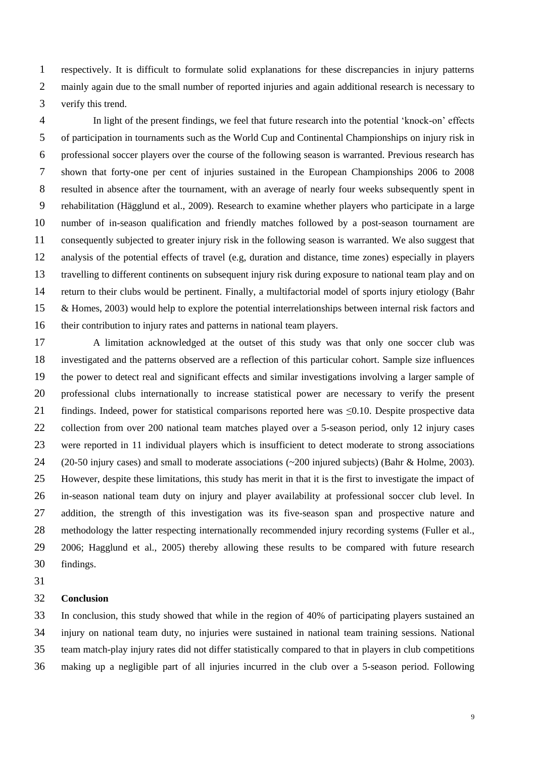respectively. It is difficult to formulate solid explanations for these discrepancies in injury patterns 2 mainly again due to the small number of reported injuries and again additional research is necessary to verify this trend.

 In light of the present findings, we feel that future research into the potential 'knock-on' effects of participation in tournaments such as the World Cup and Continental Championships on injury risk in professional soccer players over the course of the following season is warranted. Previous research has shown that forty-one per cent of injuries sustained in the European Championships 2006 to 2008 resulted in absence after the tournament, with an average of nearly four weeks subsequently spent in rehabilitation (Hägglund et al., 2009). Research to examine whether players who participate in a large number of in-season qualification and friendly matches followed by a post-season tournament are consequently subjected to greater injury risk in the following season is warranted. We also suggest that analysis of the potential effects of travel (e.g, duration and distance, time zones) especially in players travelling to different continents on subsequent injury risk during exposure to national team play and on return to their clubs would be pertinent. Finally, a multifactorial model of sports injury etiology (Bahr & Homes, 2003) would help to explore the potential interrelationships between internal risk factors and their contribution to injury rates and patterns in national team players.

 A limitation acknowledged at the outset of this study was that only one soccer club was investigated and the patterns observed are a reflection of this particular cohort. Sample size influences the power to detect real and significant effects and similar investigations involving a larger sample of professional clubs internationally to increase statistical power are necessary to verify the present findings. Indeed, power for statistical comparisons reported here was ≤0.10. Despite prospective data 22 collection from over 200 national team matches played over a 5-season period, only 12 injury cases were reported in 11 individual players which is insufficient to detect moderate to strong associations (20-50 injury cases) and small to moderate associations (~200 injured subjects) (Bahr & Holme, 2003). However, despite these limitations, this study has merit in that it is the first to investigate the impact of in-season national team duty on injury and player availability at professional soccer club level. In addition, the strength of this investigation was its five-season span and prospective nature and methodology the latter respecting internationally recommended injury recording systems (Fuller et al., 2006; Hagglund et al., 2005) thereby allowing these results to be compared with future research findings.

## **Conclusion**

 In conclusion, this study showed that while in the region of 40% of participating players sustained an injury on national team duty, no injuries were sustained in national team training sessions. National team match-play injury rates did not differ statistically compared to that in players in club competitions making up a negligible part of all injuries incurred in the club over a 5-season period. Following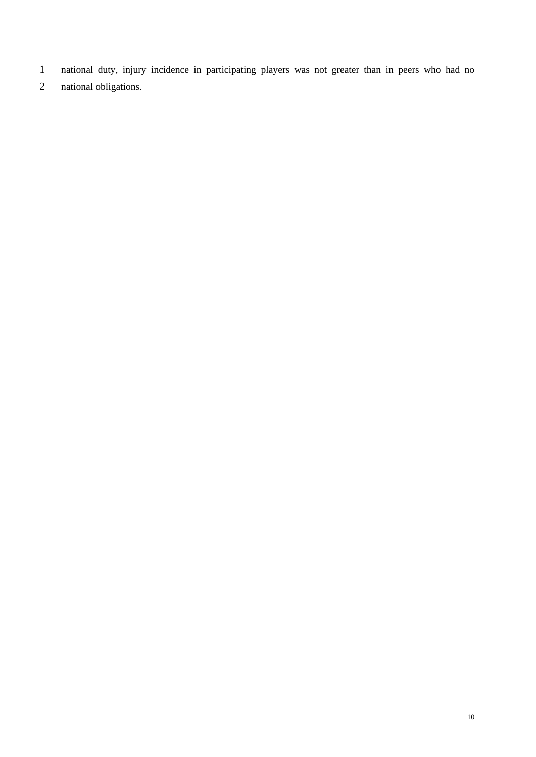- national duty, injury incidence in participating players was not greater than in peers who had no
- national obligations.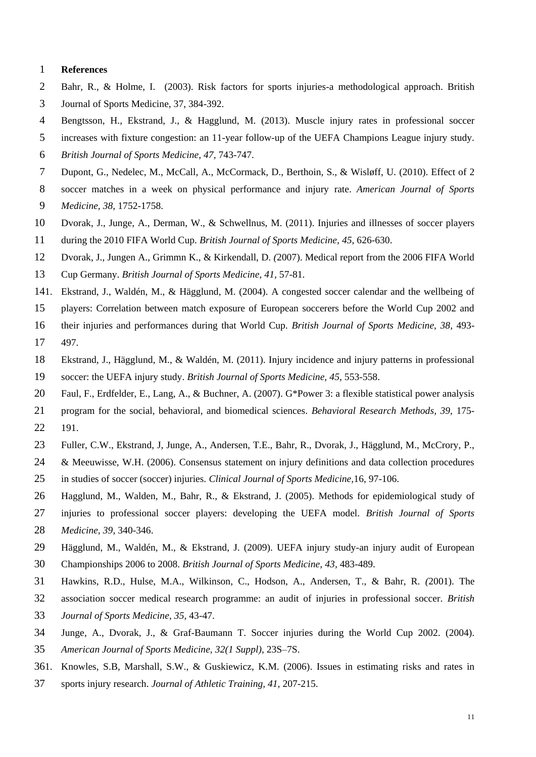#### **References**

- Bahr, R., & Holme, I. (2003). Risk factors for sports injuries-a methodological approach. British
- Journal of Sports Medicine, 37, 384-392.
- Bengtsson, H., Ekstrand, J., & Hagglund, M. (2013). Muscle injury rates in professional soccer
- increases with fixture congestion: an 11-year follow-up of the UEFA Champions League injury study.
- *British Journal of Sports Medicine, 47,* 743-747.
- Dupont, G., Nedelec, M., McCall, A., McCormack, D., Berthoin, S., & Wisløff, U. (2010). Effect of 2
- soccer matches in a week on physical performance and injury rate. *American Journal of Sports*
- *Medicine, 38,* 1752-1758.
- Dvorak, J., Junge, A., Derman, W., & Schwellnus, M. (2011). Injuries and illnesses of soccer players
- during the 2010 FIFA World Cup. *British Journal of Sports Medicine, 45*, 626-630.

Dvorak, J., Jungen A., Grimmn K., & Kirkendall, D. *(*2007). Medical report from the 2006 FIFA World

- Cup Germany. *British Journal of Sports Medicine, 41,* 57-81.
- 1. Ekstrand, J., Waldén, M., & Hägglund, M. (2004). A congested soccer calendar and the wellbeing of
- players: Correlation between match exposure of European soccerers before the World Cup 2002 and
- their injuries and performances during that World Cup. *British Journal of Sports Medicine, 38,* 493-
- 497.
- Ekstrand, J., Hägglund, M., & Waldén, M. (2011). Injury incidence and injury patterns in professional
- soccer: the UEFA injury study. *British Journal of Sports Medicine, 45,* 553-558.
- Faul, F., Erdfelder, E., Lang, A., & Buchner, A. (2007). G\*Power 3: a flexible statistical power analysis
- program for the social, behavioral, and biomedical sciences. *Behavioral Research Methods, 39,* 175- 191.
- Fuller, C.W., Ekstrand, J, Junge, A., Andersen, T.E., Bahr, R., Dvorak, J., Hägglund, M., McCrory, P.,
- & Meeuwisse, W.H. (2006). Consensus statement on injury definitions and data collection procedures in studies of soccer (soccer) injuries. *Clinical Journal of Sports Medicine,*16, 97-106.
- Hagglund, M., Walden, M., Bahr, R., & Ekstrand, J. (2005). Methods for epidemiological study of
- injuries to professional soccer players: developing the UEFA model. *British Journal of Sports*
- *Medicine, 39,* 340-346.
- Hägglund, M., Waldén, M., & Ekstrand, J. (2009). UEFA injury study-an injury audit of European
- Championships 2006 to 2008. *British Journal of Sports Medicine, 43,* 483-489.
- Hawkins, R.D., Hulse, M.A., Wilkinson, C., Hodson, A., Andersen, T., & Bahr, R. *(*2001). The
- association soccer medical research programme: an audit of injuries in professional soccer. *British*
- *Journal of Sports Medicine, 35,* 43-47.
- Junge, A., Dvorak, J., & Graf-Baumann T. Soccer injuries during the World Cup 2002. (2004).
- *American Journal of Sports Medicine, 32(1 Suppl),* 23S–7S.
- 1. Knowles, S.B, Marshall, S.W., & Guskiewicz, K.M. (2006). Issues in estimating risks and rates in
- sports injury research. *Journal of Athletic Training, 41,* 207-215.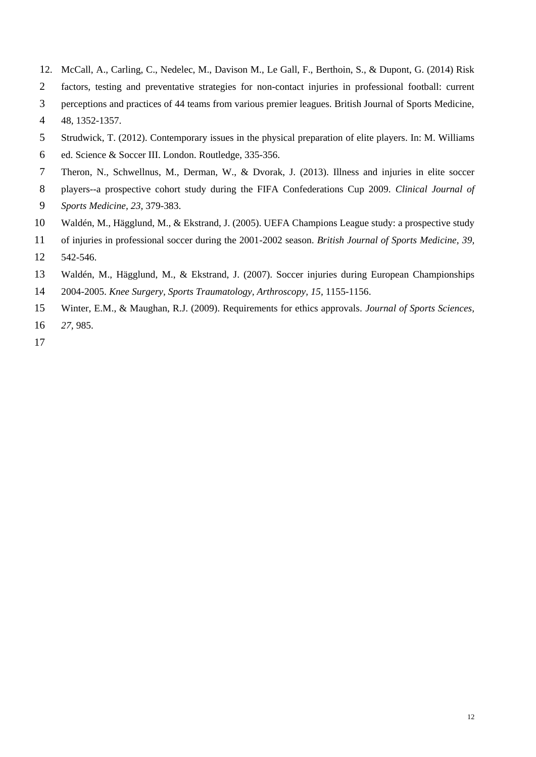- 2. McCall, A., Carling, C., Nedelec, M., Davison M., Le Gall, F., Berthoin, S., & Dupont, G. (2014) Risk
- factors, testing and preventative strategies for non-contact injuries in professional football: current
- perceptions and practices of 44 teams from various premier leagues. British Journal of Sports Medicine,
- 48, 1352-1357.
- Strudwick, T. (2012). Contemporary issues in the physical preparation of elite players. In: M. Williams
- ed. Science & Soccer III. London. Routledge, 335-356.
- Theron, N., Schwellnus, M., Derman, W., & Dvorak, J. (2013). Illness and injuries in elite soccer
- players--a prospective cohort study during the FIFA Confederations Cup 2009. *Clinical Journal of*
- *Sports Medicine, 23,* 379-383.
- Waldén, M., Hägglund, M., & Ekstrand, J. (2005). UEFA Champions League study: a prospective study
- of injuries in professional soccer during the 2001-2002 season. *British Journal of Sports Medicine, 39,*
- 542-546.
- Waldén, M., Hägglund, M., & Ekstrand, J. (2007). Soccer injuries during European Championships
- 2004-2005. *Knee Surgery, Sports Traumatology, Arthroscopy, 15,* 1155-1156.
- Winter, E.M., & Maughan, R.J. (2009). Requirements for ethics approvals*. Journal of Sports Sciences,*
- *27,* 985.
-